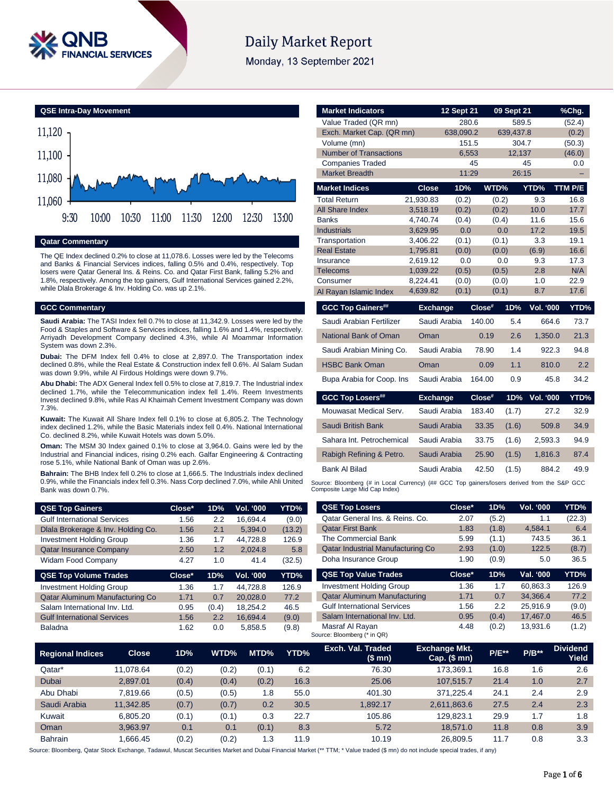

# **Daily Market Report**

Monday, 13 September 2021



### **Qatar Commentary**

The QE Index declined 0.2% to close at 11,078.6. Losses were led by the Telecoms and Banks & Financial Services indices, falling 0.5% and 0.4%, respectively. Top losers were Qatar General Ins. & Reins. Co. and Qatar First Bank, falling 5.2% and 1.8%, respectively. Among the top gainers, Gulf International Services gained 2.2%, while Dlala Brokerage & Inv. Holding Co. was up 2.1%.

### **GCC Commentary**

**Saudi Arabia:** The TASI Index fell 0.7% to close at 11,342.9. Losses were led by the Food & Staples and Software & Services indices, falling 1.6% and 1.4%, respectively. Arriyadh Development Company declined 4.3%, while Al Moammar Information System was down 2.3%.

**Dubai:** The DFM Index fell 0.4% to close at 2,897.0. The Transportation index declined 0.8%, while the Real Estate & Construction index fell 0.6%. Al Salam Sudan was down 9.9%, while Al Firdous Holdings were down 9.7%.

**Abu Dhabi:** The ADX General Index fell 0.5% to close at 7,819.7. The Industrial index declined 1.7%, while the Telecommunication index fell 1.4%. Reem Investments Invest declined 9.8%, while Ras Al Khaimah Cement Investment Company was down 7.3%.

**Kuwait:** The Kuwait All Share Index fell 0.1% to close at 6,805.2. The Technology index declined 1.2%, while the Basic Materials index fell 0.4%. National International Co. declined 8.2%, while Kuwait Hotels was down 5.0%.

**Oman:** The MSM 30 Index gained 0.1% to close at 3,964.0. Gains were led by the Industrial and Financial indices, rising 0.2% each. Galfar Engineering & Contracting rose 5.1%, while National Bank of Oman was up 2.6%.

**Bahrain:** The BHB Index fell 0.2% to close at 1,666.5. The Industrials index declined 0.9%, while the Financials index fell 0.3%. Nass Corp declined 7.0%, while Ahli United Bank was down 0.7%.

| <b>QSE Top Gainers</b>             | Close* | 1D%   | Vol. '000 | YTD%   |
|------------------------------------|--------|-------|-----------|--------|
| <b>Gulf International Services</b> | 1.56   | 2.2   | 16.694.4  | (9.0)  |
| Dlala Brokerage & Inv. Holding Co. | 1.56   | 2.1   | 5.394.0   | (13.2) |
| <b>Investment Holding Group</b>    | 1.36   | 1.7   | 44.728.8  | 126.9  |
| <b>Qatar Insurance Company</b>     | 2.50   | 1.2   | 2,024.8   | 5.8    |
| <b>Widam Food Company</b>          | 4.27   | 1.0   | 41.4      | (32.5) |
|                                    |        |       |           |        |
| <b>QSE Top Volume Trades</b>       | Close* | 1D%   | Vol. '000 | YTD%   |
| <b>Investment Holding Group</b>    | 1.36   | 1.7   | 44.728.8  | 126.9  |
| Qatar Aluminum Manufacturing Co    | 1.71   | 0.7   | 20,028.0  | 77.2   |
| Salam International Inv. Ltd.      | 0.95   | (0.4) | 18.254.2  | 46.5   |
| <b>Gulf International Services</b> | 1.56   | 2.2   | 16,694.4  | (9.0)  |

| <b>Market Indicators</b>      |                 | 12 Sept 21   |        | 09 Sept 21 |                  | %Chg.   |
|-------------------------------|-----------------|--------------|--------|------------|------------------|---------|
| Value Traded (QR mn)          |                 | 280.6        |        | 589.5      |                  | (52.4)  |
| Exch. Market Cap. (QR mn)     |                 | 638,090.2    |        | 639,437.8  |                  | (0.2)   |
| Volume (mn)                   |                 | 151.5        |        | 304.7      |                  | (50.3)  |
| <b>Number of Transactions</b> |                 | 6,553        |        | 12,137     |                  | (46.0)  |
| <b>Companies Traded</b>       |                 |              | 45     |            | 45               | 0.0     |
| <b>Market Breadth</b>         |                 | 11:29        |        | 26:15      |                  |         |
| <b>Market Indices</b>         | <b>Close</b>    | 1D%          | WTD%   |            | YTD%             | TTM P/E |
| <b>Total Return</b>           | 21,930.83       | (0.2)        |        | (0.2)      | 9.3              | 16.8    |
| <b>All Share Index</b>        | 3,518.19        | (0.2)        |        | (0.2)      | 10.0             | 17.7    |
| <b>Banks</b>                  | 4,740.74        | (0.4)        |        | (0.4)      | 11.6             | 15.6    |
| <b>Industrials</b>            | 3,629.95        | 0.0          |        | 0.0        | 17.2             | 19.5    |
| Transportation                | 3,406.22        | (0.1)        |        | (0.1)      | 3.3              | 19.1    |
| <b>Real Estate</b>            | 1,795.81        | (0.0)        |        | (0.0)      | (6.9)            | 16.6    |
| Insurance                     | 2,619.12        | 0.0          |        | 0.0        | 9.3              | 17.3    |
| <b>Telecoms</b>               | 1,039.22        | (0.5)        |        | (0.5)      | 2.8              | N/A     |
| Consumer                      | 8,224.41        | (0.0)        |        | (0.0)      | 1.0              | 22.9    |
| Al Rayan Islamic Index        | 4,639.82        | (0.1)        |        | (0.1)      | 8.7              | 17.6    |
| <b>GCC Top Gainers##</b>      | <b>Exchange</b> |              | Close# | 1D%        | <b>Vol. '000</b> | YTD%    |
| Saudi Arabian Fertilizer      |                 | Saudi Arabia | 140.00 | 5.4        | 664.6            | 73.7    |
| National Bank of Oman         | Oman            |              | 0.19   | 2.6        | 1,350.0          | 21.3    |
| Saudi Arabian Mining Co.      |                 | Saudi Arabia | 78.90  | 1.4        | 922.3            | 94.8    |
| <b>HSBC Bank Oman</b>         | Oman            |              | 0.09   | 1.1        | 810.0            | 2.2     |
| Bupa Arabia for Coop. Ins     |                 | Saudi Arabia | 164.00 | 0.9        | 45.8             | 34.2    |
| <b>GCC Top Losers##</b>       | <b>Exchange</b> |              | Close# | 1D%        | Vol. '000        | YTD%    |
| Mouwasat Medical Serv.        |                 | Saudi Arabia | 183.40 | (1.7)      | 27.2             | 32.9    |
| Saudi British Bank            |                 | Saudi Arabia | 33.35  | (1.6)      | 509.8            | 34.9    |
| Sahara Int. Petrochemical     |                 | Saudi Arabia | 33.75  | (1.6)      | 2,593.3          | 94.9    |
| Rabigh Refining & Petro.      |                 | Saudi Arabia | 25.90  | (1.5)      | 1,816.3          | 87.4    |
| <b>Bank Al Bilad</b>          |                 | Saudi Arabia | 42.50  | (1.5)      | 884.2            | 49.9    |

Source: Bloomberg (# in Local Currency) (## GCC Top gainers/losers derived from the S&P GCC<br>Composite Large Mid Cap Index)

| <b>QSE Top Losers</b>                    | Close* | 1D%   | Vol. '000 | YTD%   |
|------------------------------------------|--------|-------|-----------|--------|
| Oatar General Ins. & Reins. Co.          | 2.07   | (5.2) | 1.1       | (22.3) |
| <b>Qatar First Bank</b>                  | 1.83   | (1.8) | 4.584.1   | 6.4    |
| The Commercial Bank                      | 5.99   | (1.1) | 743.5     | 36.1   |
| <b>Qatar Industrial Manufacturing Co</b> | 2.93   | (1.0) | 122.5     | (8.7)  |
| Doha Insurance Group                     | 1.90   | (0.9) | 5.0       | 36.5   |
|                                          |        |       |           |        |
| <b>QSE Top Value Trades</b>              | Close* | 1D%   | Val. '000 | YTD%   |
| <b>Investment Holding Group</b>          | 1.36   | 1.7   | 60.863.3  | 126.9  |
| <b>Qatar Aluminum Manufacturing</b>      | 1.71   | 0.7   | 34.366.4  | 77.2   |
| <b>Gulf International Services</b>       | 1.56   | 2.2   | 25.916.9  | (9.0)  |
| Salam International Inv. Ltd.            | 0.95   | (0.4) | 17,467.0  | 46.5   |

| <b>Regional Indices</b> | <b>Close</b> | 1D%   | WTD%  | MTD%  | YTD% | Exch. Val. Traded<br>(\$mn) | <b>Exchange Mkt.</b><br>$Cap.$ (\$ mn) | <b>P/E**</b> | $P/B**$ | <b>Dividend</b><br>Yield |
|-------------------------|--------------|-------|-------|-------|------|-----------------------------|----------------------------------------|--------------|---------|--------------------------|
| Qatar*                  | 11.078.64    | (0.2) | (0.2) | (0.1) | 6.2  | 76.30                       | 173.369.1                              | 16.8         | 1.6     | 2.6                      |
| Dubai                   | 2,897.01     | (0.4) | (0.4) | (0.2) | 16.3 | 25.06                       | 107.515.7                              | 21.4         | 1.0     | 2.7                      |
| Abu Dhabi               | 7.819.66     | (0.5) | (0.5) | 1.8   | 55.0 | 401.30                      | 371.225.4                              | 24.1         | 2.4     | 2.9                      |
| Saudi Arabia            | 11.342.85    | (0.7) | (0.7) | 0.2   | 30.5 | 1.892.17                    | 2.611.863.6                            | 27.5         | 2.4     | 2.3                      |
| Kuwait                  | 6.805.20     | (0.1) | (0.1) | 0.3   | 22.7 | 105.86                      | 129.823.1                              | 29.9         | 1.7     | 1.8                      |
| Oman                    | 3.963.97     | 0.1   | 0.1   | (0.1) | 8.3  | 5.72                        | 18,571.0                               | 11.8         | 0.8     | 3.9                      |
| <b>Bahrain</b>          | .666.45      | (0.2) | (0.2) | 1.3   | 11.9 | 10.19                       | 26.809.5                               | 11.7         | 0.8     | 3.3                      |

Source: Bloomberg, Qatar Stock Exchange, Tadawul, Muscat Securities Market and Dubai Financial Market (\*\* TTM; \* Value traded (\$ mn) do not include special trades, if any)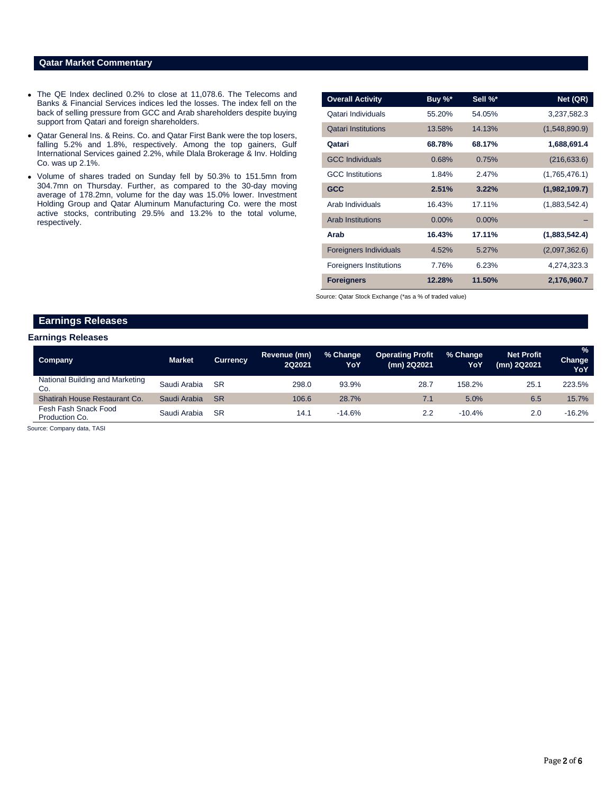### **Qatar Market Commentary**

- The QE Index declined 0.2% to close at 11,078.6. The Telecoms and Banks & Financial Services indices led the losses. The index fell on the back of selling pressure from GCC and Arab shareholders despite buying support from Qatari and foreign shareholders.
- Qatar General Ins. & Reins. Co. and Qatar First Bank were the top losers, falling 5.2% and 1.8%, respectively. Among the top gainers, Gulf International Services gained 2.2%, while Dlala Brokerage & Inv. Holding Co. was up 2.1%.
- Volume of shares traded on Sunday fell by 50.3% to 151.5mn from 304.7mn on Thursday. Further, as compared to the 30-day moving average of 178.2mn, volume for the day was 15.0% lower. Investment Holding Group and Qatar Aluminum Manufacturing Co. were the most active stocks, contributing 29.5% and 13.2% to the total volume, respectively.

| <b>Overall Activity</b>        | Buy %* | Sell %* | Net (QR)      |
|--------------------------------|--------|---------|---------------|
| Qatari Individuals             | 55.20% | 54.05%  | 3,237,582.3   |
| <b>Qatari Institutions</b>     | 13.58% | 14.13%  | (1,548,890.9) |
| Qatari                         | 68.78% | 68.17%  | 1,688,691.4   |
| <b>GCC Individuals</b>         | 0.68%  | 0.75%   | (216, 633.6)  |
| <b>GCC</b> Institutions        | 1.84%  | 2.47%   | (1,765,476.1) |
| <b>GCC</b>                     | 2.51%  | 3.22%   | (1,982,109.7) |
| Arab Individuals               | 16.43% | 17.11%  | (1,883,542.4) |
| <b>Arab Institutions</b>       | 0.00%  | 0.00%   |               |
| Arab                           | 16.43% | 17.11%  | (1,883,542.4) |
| <b>Foreigners Individuals</b>  | 4.52%  | 5.27%   | (2,097,362.6) |
| <b>Foreigners Institutions</b> | 7.76%  | 6.23%   | 4,274,323.3   |
| <b>Foreigners</b>              | 12.28% | 11.50%  | 2,176,960.7   |

Source: Qatar Stock Exchange (\*as a % of traded value)

## **Earnings Releases**

### **Earnings Releases**

| Company                                | <b>Market</b> | <b>Currency</b> | Revenue (mn)<br><b>2Q2021</b> | % Change<br>YoY | <b>Operating Profit</b><br>(mn) 2Q2021 | % Change<br>YoY | <b>Net Profit</b><br>(mn) 2Q2021 | %<br>Change<br>YoY |
|----------------------------------------|---------------|-----------------|-------------------------------|-----------------|----------------------------------------|-----------------|----------------------------------|--------------------|
| National Building and Marketing<br>Co. | Saudi Arabia  | <b>SR</b>       | 298.0                         | 93.9%           | 28.7                                   | 158.2%          | 25.1                             | 223.5%             |
| Shatirah House Restaurant Co.          | Saudi Arabia  | <b>SR</b>       | 106.6                         | 28.7%           | 7.1                                    | 5.0%            | 6.5                              | 15.7%              |
| Fesh Fash Snack Food<br>Production Co. | Saudi Arabia  | <b>SR</b>       | 14.1                          | $-14.6%$        | 2.2                                    | $-10.4%$        | 2.0                              | $-16.2%$           |

Source: Company data, TASI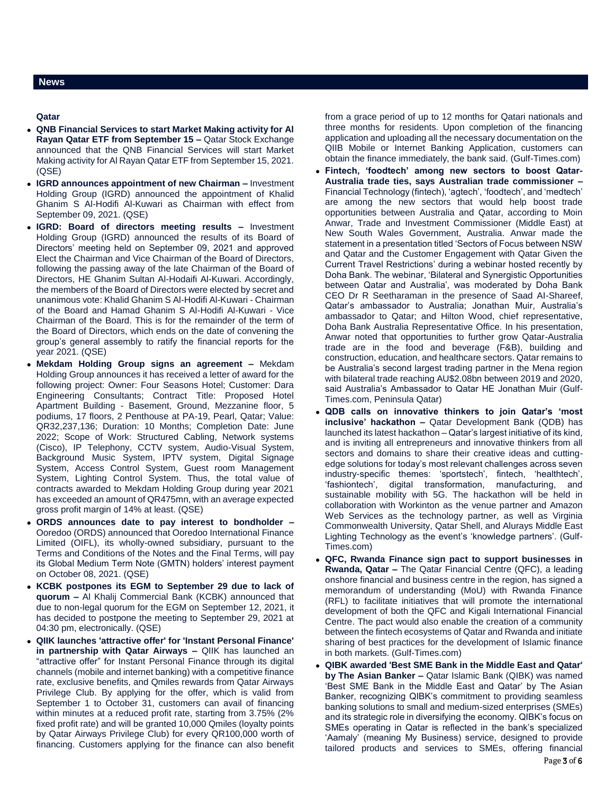**Qatar** 

- **QNB Financial Services to start Market Making activity for Al Rayan Qatar ETF from September 15 –** Qatar Stock Exchange announced that the QNB Financial Services will start Market Making activity for Al Rayan Qatar ETF from September 15, 2021. (QSE)
- **IGRD announces appointment of new Chairman –** Investment Holding Group (IGRD) announced the appointment of Khalid Ghanim S Al-Hodifi Al-Kuwari as Chairman with effect from September 09, 2021. (QSE)
- **IGRD: Board of directors meeting results –** Investment Holding Group (IGRD) announced the results of its Board of Directors' meeting held on September 09, 2021 and approved Elect the Chairman and Vice Chairman of the Board of Directors, following the passing away of the late Chairman of the Board of Directors, HE Ghanim Sultan Al-Hodaifi Al-Kuwari. Accordingly, the members of the Board of Directors were elected by secret and unanimous vote: Khalid Ghanim S Al-Hodifi Al-Kuwari - Chairman of the Board and Hamad Ghanim S Al-Hodifi Al-Kuwari - Vice Chairman of the Board. This is for the remainder of the term of the Board of Directors, which ends on the date of convening the group's general assembly to ratify the financial reports for the year 2021. (QSE)
- **Mekdam Holding Group signs an agreement –** Mekdam Holding Group announces it has received a letter of award for the following project: Owner: Four Seasons Hotel; Customer: Dara Engineering Consultants; Contract Title: Proposed Hotel Apartment Building - Basement, Ground, Mezzanine floor, 5 podiums, 17 floors, 2 Penthouse at PA-19, Pearl, Qatar; Value: QR32,237,136; Duration: 10 Months; Completion Date: June 2022; Scope of Work: Structured Cabling, Network systems (Cisco), IP Telephony, CCTV system, Audio-Visual System, Background Music System, IPTV system, Digital Signage System, Access Control System, Guest room Management System, Lighting Control System. Thus, the total value of contracts awarded to Mekdam Holding Group during year 2021 has exceeded an amount of QR475mn, with an average expected gross profit margin of 14% at least. (QSE)
- **ORDS announces date to pay interest to bondholder –** Ooredoo (ORDS) announced that Ooredoo International Finance Limited (OIFL), its wholly-owned subsidiary, pursuant to the Terms and Conditions of the Notes and the Final Terms, will pay its Global Medium Term Note (GMTN) holders' interest payment on October 08, 2021. (QSE)
- **KCBK postpones its EGM to September 29 due to lack of quorum –** Al Khalij Commercial Bank (KCBK) announced that due to non-legal quorum for the EGM on September 12, 2021, it has decided to postpone the meeting to September 29, 2021 at 04:30 pm, electronically. (QSE)
- **QIIK launches 'attractive offer' for 'Instant Personal Finance' in partnership with Qatar Airways –** QIIK has launched an "attractive offer" for Instant Personal Finance through its digital channels (mobile and internet banking) with a competitive finance rate, exclusive benefits, and Qmiles rewards from Qatar Airways Privilege Club. By applying for the offer, which is valid from September 1 to October 31, customers can avail of financing within minutes at a reduced profit rate, starting from 3.75% (2% fixed profit rate) and will be granted 10,000 Qmiles (loyalty points by Qatar Airways Privilege Club) for every QR100,000 worth of financing. Customers applying for the finance can also benefit

from a grace period of up to 12 months for Qatari nationals and three months for residents. Upon completion of the financing application and uploading all the necessary documentation on the QIIB Mobile or Internet Banking Application, customers can obtain the finance immediately, the bank said. (Gulf-Times.com)

- **Fintech, 'foodtech' among new sectors to boost Qatar-Australia trade ties, says Australian trade commissioner –** Financial Technology (fintech), 'agtech', 'foodtech', and 'medtech' are among the new sectors that would help boost trade opportunities between Australia and Qatar, according to Moin Anwar, Trade and Investment Commissioner (Middle East) at New South Wales Government, Australia. Anwar made the statement in a presentation titled 'Sectors of Focus between NSW and Qatar and the Customer Engagement with Qatar Given the Current Travel Restrictions' during a webinar hosted recently by Doha Bank. The webinar, 'Bilateral and Synergistic Opportunities between Qatar and Australia', was moderated by Doha Bank CEO Dr R Seetharaman in the presence of Saad AI-Shareef, Qatar's ambassador to Australia; Jonathan Muir, Australia's ambassador to Qatar; and Hilton Wood, chief representative, Doha Bank Australia Representative Office. In his presentation, Anwar noted that opportunities to further grow Qatar-Australia trade are in the food and beverage (F&B), building and construction, education, and healthcare sectors. Qatar remains to be Australia's second largest trading partner in the Mena region with bilateral trade reaching AU\$2.08bn between 2019 and 2020, said Australia's Ambassador to Qatar HE Jonathan Muir (Gulf-Times.com, Peninsula Qatar)
- **QDB calls on innovative thinkers to join Qatar's 'most inclusive' hackathon –** Qatar Development Bank (QDB) has launched its latest hackathon – Qatar's largest initiative of its kind, and is inviting all entrepreneurs and innovative thinkers from all sectors and domains to share their creative ideas and cuttingedge solutions for today's most relevant challenges across seven industry-specific themes: 'sportstech', fintech, 'healthtech', 'fashiontech', digital transformation, manufacturing, and sustainable mobility with 5G. The hackathon will be held in collaboration with Workinton as the venue partner and Amazon Web Services as the technology partner, as well as Virginia Commonwealth University, Qatar Shell, and Alurays Middle East Lighting Technology as the event's 'knowledge partners'. (Gulf-Times.com)
- **QFC, Rwanda Finance sign pact to support businesses in Rwanda, Qatar –** The Qatar Financial Centre (QFC), a leading onshore financial and business centre in the region, has signed a memorandum of understanding (MoU) with Rwanda Finance (RFL) to facilitate initiatives that will promote the international development of both the QFC and Kigali International Financial Centre. The pact would also enable the creation of a community between the fintech ecosystems of Qatar and Rwanda and initiate sharing of best practices for the development of Islamic finance in both markets. (Gulf-Times.com)
- **QIBK awarded 'Best SME Bank in the Middle East and Qatar' by The Asian Banker –** Qatar Islamic Bank (QIBK) was named 'Best SME Bank in the Middle East and Qatar' by The Asian Banker, recognizing QIBK's commitment to providing seamless banking solutions to small and medium-sized enterprises (SMEs) and its strategic role in diversifying the economy. QIBK's focus on SMEs operating in Qatar is reflected in the bank's specialized 'Aamaly' (meaning My Business) service, designed to provide tailored products and services to SMEs, offering financial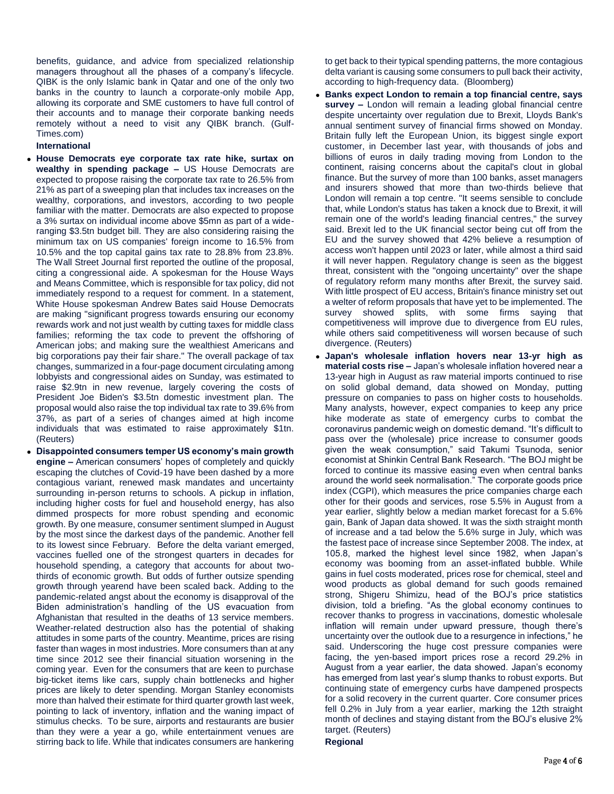benefits, guidance, and advice from specialized relationship managers throughout all the phases of a company's lifecycle. QIBK is the only Islamic bank in Qatar and one of the only two banks in the country to launch a corporate-only mobile App, allowing its corporate and SME customers to have full control of their accounts and to manage their corporate banking needs remotely without a need to visit any QIBK branch. (Gulf-Times.com)

### **International**

- **House Democrats eye corporate tax rate hike, surtax on wealthy in spending package –** US House Democrats are expected to propose raising the corporate tax rate to 26.5% from 21% as part of a sweeping plan that includes tax increases on the wealthy, corporations, and investors, according to two people familiar with the matter. Democrats are also expected to propose a 3% surtax on individual income above \$5mn as part of a wideranging \$3.5tn budget bill. They are also considering raising the minimum tax on US companies' foreign income to 16.5% from 10.5% and the top capital gains tax rate to 28.8% from 23.8%. The Wall Street Journal first reported the outline of the proposal, citing a congressional aide. A spokesman for the House Ways and Means Committee, which is responsible for tax policy, did not immediately respond to a request for comment. In a statement, White House spokesman Andrew Bates said House Democrats are making "significant progress towards ensuring our economy rewards work and not just wealth by cutting taxes for middle class families; reforming the tax code to prevent the offshoring of American jobs; and making sure the wealthiest Americans and big corporations pay their fair share." The overall package of tax changes, summarized in a four-page document circulating among lobbyists and congressional aides on Sunday, was estimated to raise \$2.9tn in new revenue, largely covering the costs of President Joe Biden's \$3.5tn domestic investment plan. The proposal would also raise the top individual tax rate to 39.6% from 37%, as part of a series of changes aimed at high income individuals that was estimated to raise approximately \$1tn. (Reuters)
- **Disappointed consumers temper US economy's main growth engine –** American consumers' hopes of completely and quickly escaping the clutches of Covid-19 have been dashed by a more contagious variant, renewed mask mandates and uncertainty surrounding in-person returns to schools. A pickup in inflation, including higher costs for fuel and household energy, has also dimmed prospects for more robust spending and economic growth. By one measure, consumer sentiment slumped in August by the most since the darkest days of the pandemic. Another fell to its lowest since February. Before the delta variant emerged, vaccines fuelled one of the strongest quarters in decades for household spending, a category that accounts for about twothirds of economic growth. But odds of further outsize spending growth through yearend have been scaled back. Adding to the pandemic-related angst about the economy is disapproval of the Biden administration's handling of the US evacuation from Afghanistan that resulted in the deaths of 13 service members. Weather-related destruction also has the potential of shaking attitudes in some parts of the country. Meantime, prices are rising faster than wages in most industries. More consumers than at any time since 2012 see their financial situation worsening in the coming year. Even for the consumers that are keen to purchase big-ticket items like cars, supply chain bottlenecks and higher prices are likely to deter spending. Morgan Stanley economists more than halved their estimate for third quarter growth last week, pointing to lack of inventory, inflation and the waning impact of stimulus checks. To be sure, airports and restaurants are busier than they were a year a go, while entertainment venues are stirring back to life. While that indicates consumers are hankering

to get back to their typical spending patterns, the more contagious delta variant is causing some consumers to pull back their activity, according to high-frequency data. (Bloomberg)

- **Banks expect London to remain a top financial centre, says survey –** London will remain a leading global financial centre despite uncertainty over regulation due to Brexit, Lloyds Bank's annual sentiment survey of financial firms showed on Monday. Britain fully left the European Union, its biggest single export customer, in December last year, with thousands of jobs and billions of euros in daily trading moving from London to the continent, raising concerns about the capital's clout in global finance. But the survey of more than 100 banks, asset managers and insurers showed that more than two-thirds believe that London will remain a top centre. "It seems sensible to conclude that, while London's status has taken a knock due to Brexit, it will remain one of the world's leading financial centres," the survey said. Brexit led to the UK financial sector being cut off from the EU and the survey showed that 42% believe a resumption of access won't happen until 2023 or later, while almost a third said it will never happen. Regulatory change is seen as the biggest threat, consistent with the "ongoing uncertainty" over the shape of regulatory reform many months after Brexit, the survey said. With little prospect of EU access, Britain's finance ministry set out a welter of reform proposals that have yet to be implemented. The survey showed splits, with some firms saying that competitiveness will improve due to divergence from EU rules, while others said competitiveness will worsen because of such divergence. (Reuters)
- **Japan's wholesale inflation hovers near 13-yr high as material costs rise –** Japan's wholesale inflation hovered near a 13-year high in August as raw material imports continued to rise on solid global demand, data showed on Monday, putting pressure on companies to pass on higher costs to households. Many analysts, however, expect companies to keep any price hike moderate as state of emergency curbs to combat the coronavirus pandemic weigh on domestic demand. "It's difficult to pass over the (wholesale) price increase to consumer goods given the weak consumption," said Takumi Tsunoda, senior economist at Shinkin Central Bank Research. "The BOJ might be forced to continue its massive easing even when central banks around the world seek normalisation." The corporate goods price index (CGPI), which measures the price companies charge each other for their goods and services, rose 5.5% in August from a year earlier, slightly below a median market forecast for a 5.6% gain, Bank of Japan data showed. It was the sixth straight month of increase and a tad below the 5.6% surge in July, which was the fastest pace of increase since September 2008. The index, at 105.8, marked the highest level since 1982, when Japan's economy was booming from an asset-inflated bubble. While gains in fuel costs moderated, prices rose for chemical, steel and wood products as global demand for such goods remained strong, Shigeru Shimizu, head of the BOJ's price statistics division, told a briefing. "As the global economy continues to recover thanks to progress in vaccinations, domestic wholesale inflation will remain under upward pressure, though there's uncertainty over the outlook due to a resurgence in infections," he said. Underscoring the huge cost pressure companies were facing, the yen-based import prices rose a record 29.2% in August from a year earlier, the data showed. Japan's economy has emerged from last year's slump thanks to robust exports. But continuing state of emergency curbs have dampened prospects for a solid recovery in the current quarter. Core consumer prices fell 0.2% in July from a year earlier, marking the 12th straight month of declines and staying distant from the BOJ's elusive 2% target. (Reuters) **Regional**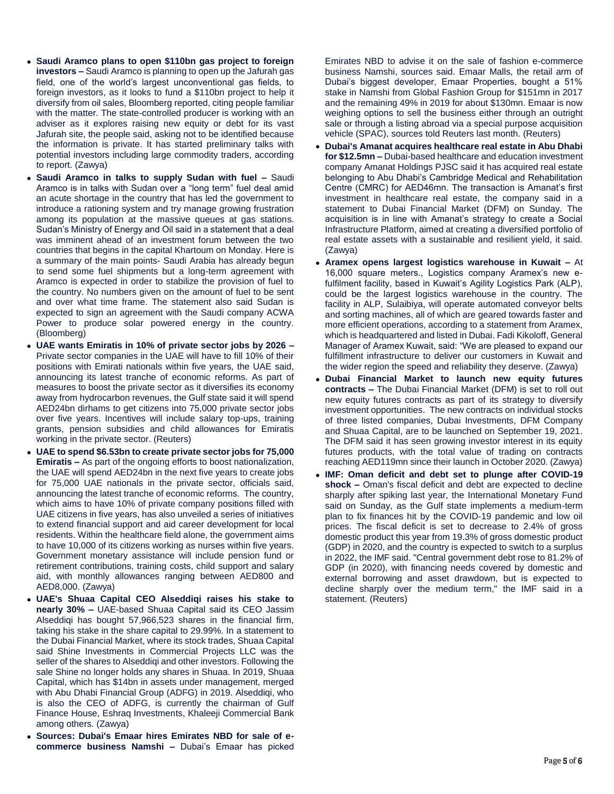- **Saudi Aramco plans to open \$110bn gas project to foreign investors –** Saudi Aramco is planning to open up the Jafurah gas field, one of the world's largest unconventional gas fields, to foreign investors, as it looks to fund a \$110bn project to help it diversify from oil sales, Bloomberg reported, citing people familiar with the matter. The state-controlled producer is working with an adviser as it explores raising new equity or debt for its vast Jafurah site, the people said, asking not to be identified because the information is private. It has started preliminary talks with potential investors including large commodity traders, according to report. (Zawya)
- **Saudi Aramco in talks to supply Sudan with fuel –** Saudi Aramco is in talks with Sudan over a "long term" fuel deal amid an acute shortage in the country that has led the government to introduce a rationing system and try manage growing frustration among its population at the massive queues at gas stations. Sudan's Ministry of Energy and Oil said in a statement that a deal was imminent ahead of an investment forum between the two countries that begins in the capital Khartoum on Monday. Here is a summary of the main points- Saudi Arabia has already begun to send some fuel shipments but a long-term agreement with Aramco is expected in order to stabilize the provision of fuel to the country. No numbers given on the amount of fuel to be sent and over what time frame. The statement also said Sudan is expected to sign an agreement with the Saudi company ACWA Power to produce solar powered energy in the country. (Bloomberg)
- **UAE wants Emiratis in 10% of private sector jobs by 2026 –** Private sector companies in the UAE will have to fill 10% of their positions with Emirati nationals within five years, the UAE said, announcing its latest tranche of economic reforms. As part of measures to boost the private sector as it diversifies its economy away from hydrocarbon revenues, the Gulf state said it will spend AED24bn dirhams to get citizens into 75,000 private sector jobs over five years. Incentives will include salary top-ups, training grants, pension subsidies and child allowances for Emiratis working in the private sector. (Reuters)
- **UAE to spend \$6.53bn to create private sector jobs for 75,000 Emiratis –** As part of the ongoing efforts to boost nationalization, the UAE will spend AED24bn in the next five years to create jobs for 75,000 UAE nationals in the private sector, officials said, announcing the latest tranche of economic reforms. The country, which aims to have 10% of private company positions filled with UAE citizens in five years, has also unveiled a series of initiatives to extend financial support and aid career development for local residents. Within the healthcare field alone, the government aims to have 10,000 of its citizens working as nurses within five years. Government monetary assistance will include pension fund or retirement contributions, training costs, child support and salary aid, with monthly allowances ranging between AED800 and AED8,000. (Zawya)
- **UAE's Shuaa Capital CEO Alseddiqi raises his stake to nearly 30% –** UAE-based Shuaa Capital said its CEO Jassim Alseddiqi has bought 57,966,523 shares in the financial firm, taking his stake in the share capital to 29.99%. In a statement to the Dubai Financial Market, where its stock trades, Shuaa Capital said Shine Investments in Commercial Projects LLC was the seller of the shares to Alseddiqi and other investors. Following the sale Shine no longer holds any shares in Shuaa. In 2019, Shuaa Capital, which has \$14bn in assets under management, merged with Abu Dhabi Financial Group (ADFG) in 2019. Alseddiqi, who is also the CEO of ADFG, is currently the chairman of Gulf Finance House, Eshraq Investments, Khaleeji Commercial Bank among others. (Zawya)
- **Sources: Dubai's Emaar hires Emirates NBD for sale of ecommerce business Namshi –** Dubai's Emaar has picked

Emirates NBD to advise it on the sale of fashion e-commerce business Namshi, sources said. Emaar Malls, the retail arm of Dubai's biggest developer, Emaar Properties, bought a 51% stake in Namshi from Global Fashion Group for \$151mn in 2017 and the remaining 49% in 2019 for about \$130mn. Emaar is now weighing options to sell the business either through an outright sale or through a listing abroad via a special purpose acquisition vehicle (SPAC), sources told Reuters last month. (Reuters)

- **Dubai's Amanat acquires healthcare real estate in Abu Dhabi for \$12.5mn –** Dubai-based healthcare and education investment company Amanat Holdings PJSC said it has acquired real estate belonging to Abu Dhabi's Cambridge Medical and Rehabilitation Centre (CMRC) for AED46mn. The transaction is Amanat's first investment in healthcare real estate, the company said in a statement to Dubai Financial Market (DFM) on Sunday. The acquisition is in line with Amanat's strategy to create a Social Infrastructure Platform, aimed at creating a diversified portfolio of real estate assets with a sustainable and resilient yield, it said. (Zawya)
- **Aramex opens largest logistics warehouse in Kuwait –** At 16,000 square meters., Logistics company Aramex's new efulfilment facility, based in Kuwait's Agility Logistics Park (ALP). could be the largest logistics warehouse in the country. The facility in ALP, Sulaibiya, will operate automated conveyor belts and sorting machines, all of which are geared towards faster and more efficient operations, according to a statement from Aramex, which is headquartered and listed in Dubai. Fadi Kikoloff, General Manager of Aramex Kuwait, said: "We are pleased to expand our fulfillment infrastructure to deliver our customers in Kuwait and the wider region the speed and reliability they deserve. (Zawya)
- **Dubai Financial Market to launch new equity futures contracts –** The Dubai Financial Market (DFM) is set to roll out new equity futures contracts as part of its strategy to diversify investment opportunities. The new contracts on individual stocks of three listed companies, Dubai Investments, DFM Company and Shuaa Capital, are to be launched on September 19, 2021. The DFM said it has seen growing investor interest in its equity futures products, with the total value of trading on contracts reaching AED119mn since their launch in October 2020. (Zawya)
- **IMF: Oman deficit and debt set to plunge after COVID-19 shock –** Oman's fiscal deficit and debt are expected to decline sharply after spiking last year, the International Monetary Fund said on Sunday, as the Gulf state implements a medium-term plan to fix finances hit by the COVID-19 pandemic and low oil prices. The fiscal deficit is set to decrease to 2.4% of gross domestic product this year from 19.3% of gross domestic product (GDP) in 2020, and the country is expected to switch to a surplus in 2022, the IMF said. "Central government debt rose to 81.2% of GDP (in 2020), with financing needs covered by domestic and external borrowing and asset drawdown, but is expected to decline sharply over the medium term," the IMF said in a statement. (Reuters)